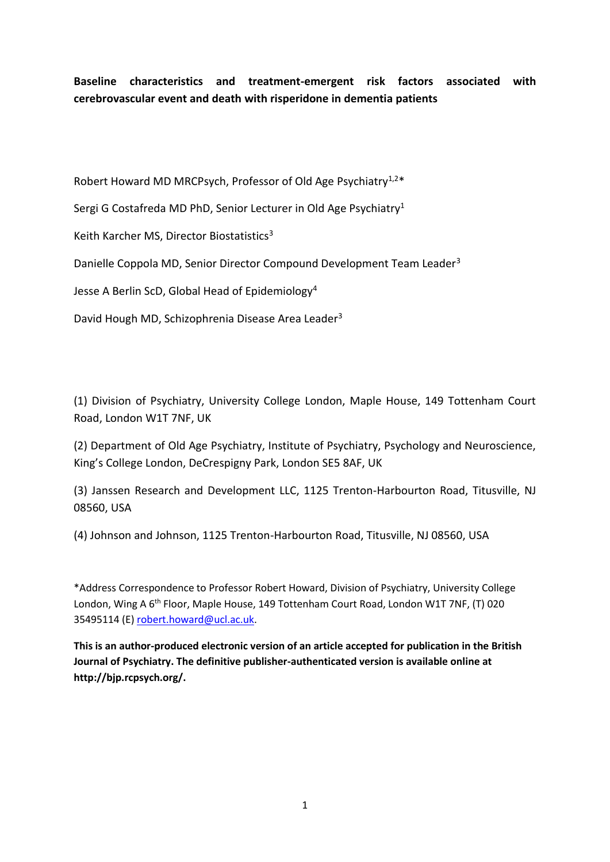**Baseline characteristics and treatment-emergent risk factors associated with cerebrovascular event and death with risperidone in dementia patients**

Robert Howard MD MRCPsych, Professor of Old Age Psychiatry<sup>1,2\*</sup>

Sergi G Costafreda MD PhD, Senior Lecturer in Old Age Psychiatry<sup>1</sup>

Keith Karcher MS, Director Biostatistics<sup>3</sup>

Danielle Coppola MD, Senior Director Compound Development Team Leader<sup>3</sup>

Jesse A Berlin ScD, Global Head of Epidemiology<sup>4</sup>

David Hough MD, Schizophrenia Disease Area Leader<sup>3</sup>

(1) Division of Psychiatry, University College London, Maple House, 149 Tottenham Court Road, London W1T 7NF, UK

(2) Department of Old Age Psychiatry, Institute of Psychiatry, Psychology and Neuroscience, King's College London, DeCrespigny Park, London SE5 8AF, UK

(3) Janssen Research and Development LLC, 1125 Trenton-Harbourton Road, Titusville, NJ 08560, USA

(4) Johnson and Johnson, 1125 Trenton-Harbourton Road, Titusville, NJ 08560, USA

\*Address Correspondence to Professor Robert Howard, Division of Psychiatry, University College London, Wing A 6<sup>th</sup> Floor, Maple House, 149 Tottenham Court Road, London W1T 7NF, (T) 020 35495114 (E[\) robert.howard@ucl.ac.uk.](mailto:robert.howard@ucl.ac.uk)

**This is an author-produced electronic version of an article accepted for publication in the British Journal of Psychiatry. The definitive publisher-authenticated version is available online at http://bjp.rcpsych.org/.**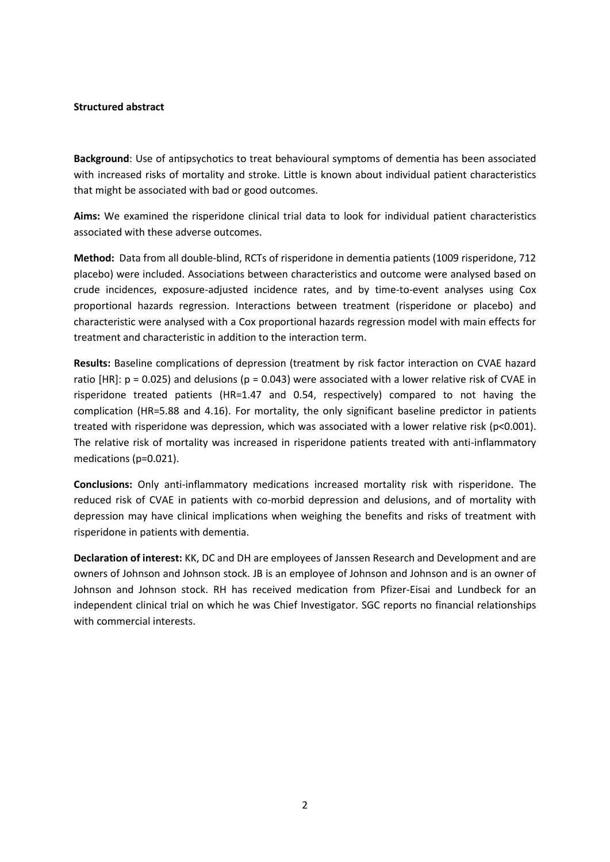#### **Structured abstract**

**Background**: Use of antipsychotics to treat behavioural symptoms of dementia has been associated with increased risks of mortality and stroke. Little is known about individual patient characteristics that might be associated with bad or good outcomes.

**Aims:** We examined the risperidone clinical trial data to look for individual patient characteristics associated with these adverse outcomes.

**Method:** Data from all double-blind, RCTs of risperidone in dementia patients (1009 risperidone, 712 placebo) were included. Associations between characteristics and outcome were analysed based on crude incidences, exposure-adjusted incidence rates, and by time-to-event analyses using Cox proportional hazards regression. Interactions between treatment (risperidone or placebo) and characteristic were analysed with a Cox proportional hazards regression model with main effects for treatment and characteristic in addition to the interaction term.

**Results:** Baseline complications of depression (treatment by risk factor interaction on CVAE hazard ratio [HR]:  $p = 0.025$ ) and delusions ( $p = 0.043$ ) were associated with a lower relative risk of CVAE in risperidone treated patients (HR=1.47 and 0.54, respectively) compared to not having the complication (HR=5.88 and 4.16). For mortality, the only significant baseline predictor in patients treated with risperidone was depression, which was associated with a lower relative risk (p<0.001). The relative risk of mortality was increased in risperidone patients treated with anti-inflammatory medications (p=0.021).

**Conclusions:** Only anti-inflammatory medications increased mortality risk with risperidone. The reduced risk of CVAE in patients with co-morbid depression and delusions, and of mortality with depression may have clinical implications when weighing the benefits and risks of treatment with risperidone in patients with dementia.

**Declaration of interest:** KK, DC and DH are employees of Janssen Research and Development and are owners of Johnson and Johnson stock. JB is an employee of Johnson and Johnson and is an owner of Johnson and Johnson stock. RH has received medication from Pfizer-Eisai and Lundbeck for an independent clinical trial on which he was Chief Investigator. SGC reports no financial relationships with commercial interests.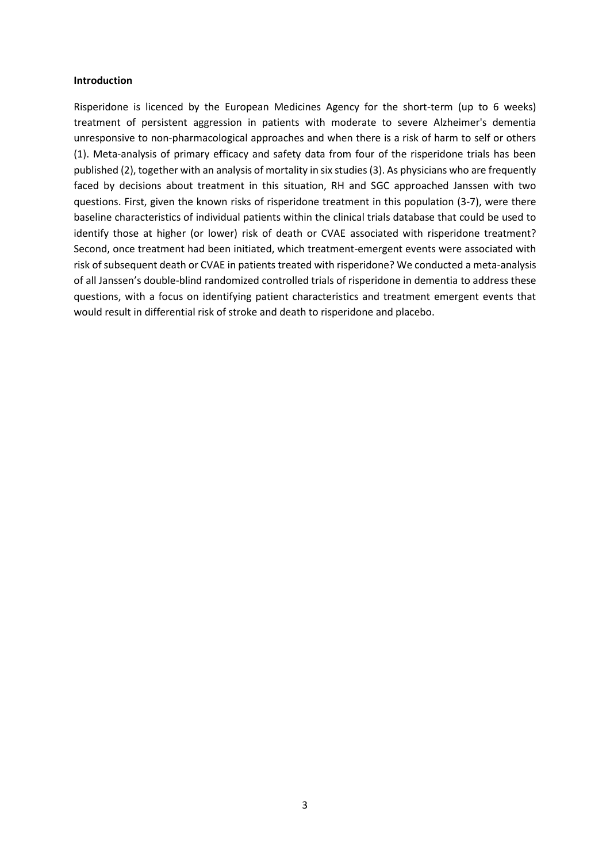#### **Introduction**

Risperidone is licenced by the European Medicines Agency for the short-term (up to 6 weeks) treatment of persistent aggression in patients with moderate to severe Alzheimer's dementia unresponsive to non-pharmacological approaches and when there is a risk of harm to self or others (1). Meta-analysis of primary efficacy and safety data from four of the risperidone trials has been published (2), together with an analysis of mortality in six studies (3). As physicians who are frequently faced by decisions about treatment in this situation, RH and SGC approached Janssen with two questions. First, given the known risks of risperidone treatment in this population (3-7), were there baseline characteristics of individual patients within the clinical trials database that could be used to identify those at higher (or lower) risk of death or CVAE associated with risperidone treatment? Second, once treatment had been initiated, which treatment-emergent events were associated with risk of subsequent death or CVAE in patients treated with risperidone? We conducted a meta-analysis of all Janssen's double-blind randomized controlled trials of risperidone in dementia to address these questions, with a focus on identifying patient characteristics and treatment emergent events that would result in differential risk of stroke and death to risperidone and placebo.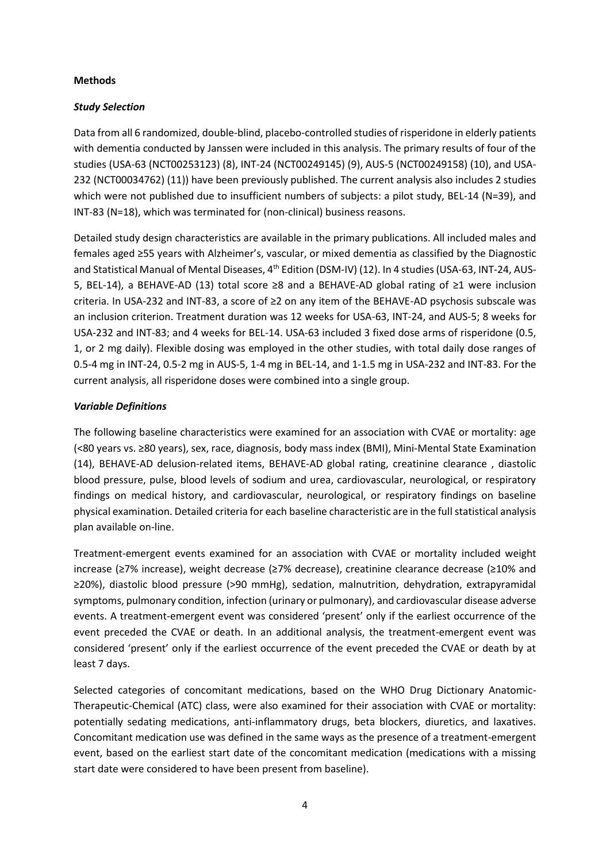#### **Methods**

#### *Study Selection*

Data from all 6 randomized, double-blind, placebo-controlled studies of risperidone in elderly patients with dementia conducted by Janssen were included in this analysis. The primary results of four of the studies (USA-63 (NCT00253123) (8), INT-24 (NCT00249145) (9), AUS-5 (NCT00249158) (10), and USA-232 (NCT00034762) (11)) have been previously published. The current analysis also includes 2 studies which were not published due to insufficient numbers of subjects: a pilot study, BEL-14 (N=39), and INT-83 (N=18), which was terminated for (non-clinical) business reasons.

Detailed study design characteristics are available in the primary publications. All included males and females aged ≥55 years with Alzheimer's, vascular, or mixed dementia as classified by the Diagnostic and Statistical Manual of Mental Diseases, 4<sup>th</sup> Edition (DSM-IV) (12). In 4 studies (USA-63, INT-24, AUS-5, BEL-14), a BEHAVE-AD (13) total score ≥8 and a BEHAVE-AD global rating of ≥1 were inclusion criteria. In USA-232 and INT-83, a score of ≥2 on any item of the BEHAVE-AD psychosis subscale was an inclusion criterion. Treatment duration was 12 weeks for USA-63, INT-24, and AUS-5; 8 weeks for USA-232 and INT-83; and 4 weeks for BEL-14. USA-63 included 3 fixed dose arms of risperidone (0.5, 1, or 2 mg daily). Flexible dosing was employed in the other studies, with total daily dose ranges of 0.5-4 mg in INT-24, 0.5-2 mg in AUS-5, 1-4 mg in BEL-14, and 1-1.5 mg in USA-232 and INT-83. For the current analysis, all risperidone doses were combined into a single group.

#### *Variable Definitions*

The following baseline characteristics were examined for an association with CVAE or mortality: age (<80 years vs. ≥80 years), sex, race, diagnosis, body mass index (BMI), Mini-Mental State Examination (14), BEHAVE-AD delusion-related items, BEHAVE-AD global rating, creatinine clearance , diastolic blood pressure, pulse, blood levels of sodium and urea, cardiovascular, neurological, or respiratory findings on medical history, and cardiovascular, neurological, or respiratory findings on baseline physical examination. Detailed criteria for each baseline characteristic are in the full statistical analysis plan available on-line.

Treatment-emergent events examined for an association with CVAE or mortality included weight increase (≥7% increase), weight decrease (≥7% decrease), creatinine clearance decrease (≥10% and ≥20%), diastolic blood pressure (>90 mmHg), sedation, malnutrition, dehydration, extrapyramidal symptoms, pulmonary condition, infection (urinary or pulmonary), and cardiovascular disease adverse events. A treatment-emergent event was considered 'present' only if the earliest occurrence of the event preceded the CVAE or death. In an additional analysis, the treatment-emergent event was considered 'present' only if the earliest occurrence of the event preceded the CVAE or death by at least 7 days.

Selected categories of concomitant medications, based on the WHO Drug Dictionary Anatomic-Therapeutic-Chemical (ATC) class, were also examined for their association with CVAE or mortality: potentially sedating medications, anti-inflammatory drugs, beta blockers, diuretics, and laxatives. Concomitant medication use was defined in the same ways as the presence of a treatment-emergent event, based on the earliest start date of the concomitant medication (medications with a missing start date were considered to have been present from baseline).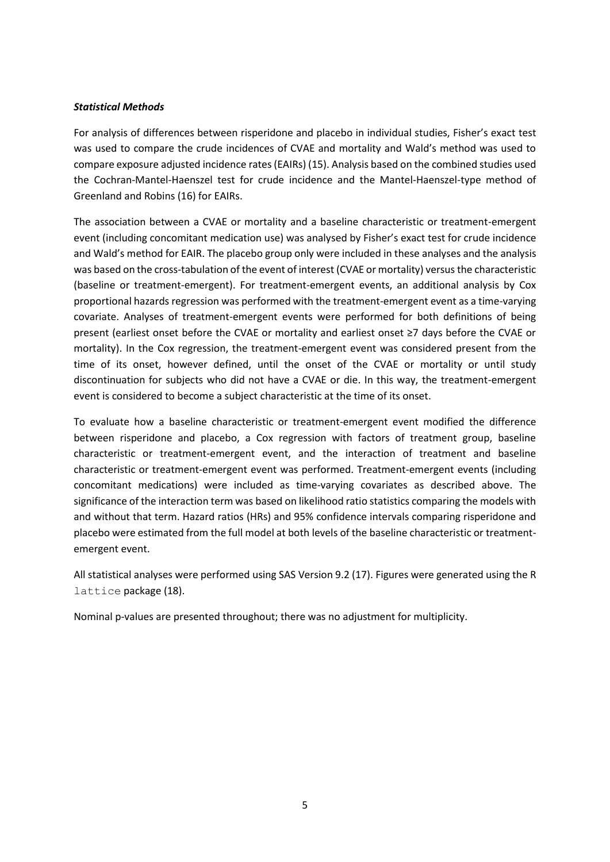#### *Statistical Methods*

For analysis of differences between risperidone and placebo in individual studies, Fisher's exact test was used to compare the crude incidences of CVAE and mortality and Wald's method was used to compare exposure adjusted incidence rates (EAIRs) (15). Analysis based on the combined studies used the Cochran-Mantel-Haenszel test for crude incidence and the Mantel-Haenszel-type method of Greenland and Robins (16) for EAIRs.

The association between a CVAE or mortality and a baseline characteristic or treatment-emergent event (including concomitant medication use) was analysed by Fisher's exact test for crude incidence and Wald's method for EAIR. The placebo group only were included in these analyses and the analysis was based on the cross-tabulation of the event of interest (CVAE or mortality) versus the characteristic (baseline or treatment-emergent). For treatment-emergent events, an additional analysis by Cox proportional hazards regression was performed with the treatment-emergent event as a time-varying covariate. Analyses of treatment-emergent events were performed for both definitions of being present (earliest onset before the CVAE or mortality and earliest onset ≥7 days before the CVAE or mortality). In the Cox regression, the treatment-emergent event was considered present from the time of its onset, however defined, until the onset of the CVAE or mortality or until study discontinuation for subjects who did not have a CVAE or die. In this way, the treatment-emergent event is considered to become a subject characteristic at the time of its onset.

To evaluate how a baseline characteristic or treatment-emergent event modified the difference between risperidone and placebo, a Cox regression with factors of treatment group, baseline characteristic or treatment-emergent event, and the interaction of treatment and baseline characteristic or treatment-emergent event was performed. Treatment-emergent events (including concomitant medications) were included as time-varying covariates as described above. The significance of the interaction term was based on likelihood ratio statistics comparing the models with and without that term. Hazard ratios (HRs) and 95% confidence intervals comparing risperidone and placebo were estimated from the full model at both levels of the baseline characteristic or treatmentemergent event.

All statistical analyses were performed using SAS Version 9.2 (17). Figures were generated using the R lattice package (18).

Nominal p-values are presented throughout; there was no adjustment for multiplicity.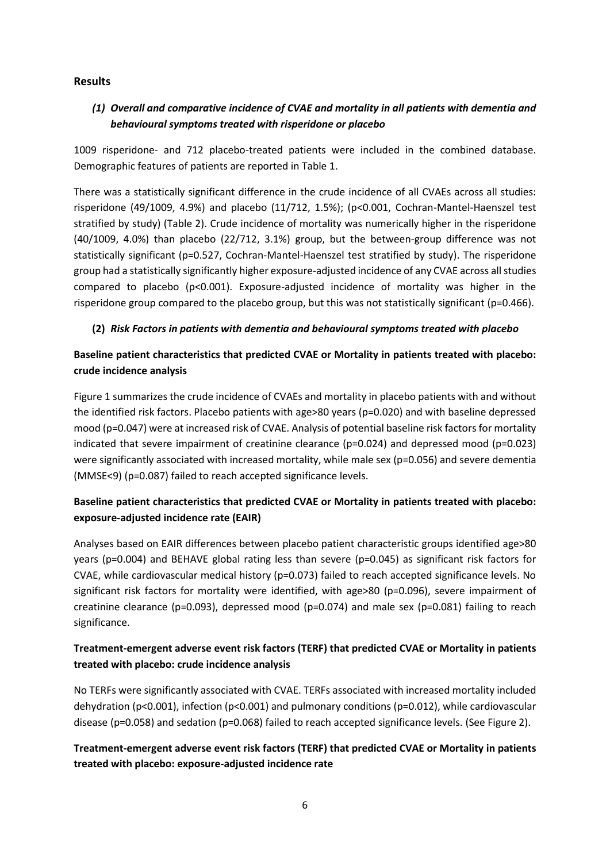### **Results**

## *(1) Overall and comparative incidence of CVAE and mortality in all patients with dementia and behavioural symptoms treated with risperidone or placebo*

1009 risperidone- and 712 placebo-treated patients were included in the combined database. Demographic features of patients are reported in Table 1.

There was a statistically significant difference in the crude incidence of all CVAEs across all studies: risperidone (49/1009, 4.9%) and placebo (11/712, 1.5%); (p<0.001, Cochran-Mantel-Haenszel test stratified by study) (Table 2). Crude incidence of mortality was numerically higher in the risperidone (40/1009, 4.0%) than placebo (22/712, 3.1%) group, but the between-group difference was not statistically significant (p=0.527, Cochran-Mantel-Haenszel test stratified by study). The risperidone group had a statistically significantly higher exposure-adjusted incidence of any CVAE across all studies compared to placebo (p<0.001). Exposure-adjusted incidence of mortality was higher in the risperidone group compared to the placebo group, but this was not statistically significant (p=0.466).

### **(2)** *Risk Factors in patients with dementia and behavioural symptoms treated with placebo*

# **Baseline patient characteristics that predicted CVAE or Mortality in patients treated with placebo: crude incidence analysis**

Figure 1 summarizes the crude incidence of CVAEs and mortality in placebo patients with and without the identified risk factors. Placebo patients with age>80 years (p=0.020) and with baseline depressed mood (p=0.047) were at increased risk of CVAE. Analysis of potential baseline risk factors for mortality indicated that severe impairment of creatinine clearance (p=0.024) and depressed mood (p=0.023) were significantly associated with increased mortality, while male sex (p=0.056) and severe dementia (MMSE<9) (p=0.087) failed to reach accepted significance levels.

# **Baseline patient characteristics that predicted CVAE or Mortality in patients treated with placebo: exposure-adjusted incidence rate (EAIR)**

Analyses based on EAIR differences between placebo patient characteristic groups identified age>80 years (p=0.004) and BEHAVE global rating less than severe (p=0.045) as significant risk factors for CVAE, while cardiovascular medical history (p=0.073) failed to reach accepted significance levels. No significant risk factors for mortality were identified, with age>80 (p=0.096), severe impairment of creatinine clearance ( $p=0.093$ ), depressed mood ( $p=0.074$ ) and male sex ( $p=0.081$ ) failing to reach significance.

# **Treatment-emergent adverse event risk factors (TERF) that predicted CVAE or Mortality in patients treated with placebo: crude incidence analysis**

No TERFs were significantly associated with CVAE. TERFs associated with increased mortality included dehydration (p<0.001), infection (p<0.001) and pulmonary conditions (p=0.012), while cardiovascular disease (p=0.058) and sedation (p=0.068) failed to reach accepted significance levels. (See Figure 2).

# **Treatment-emergent adverse event risk factors (TERF) that predicted CVAE or Mortality in patients treated with placebo: exposure-adjusted incidence rate**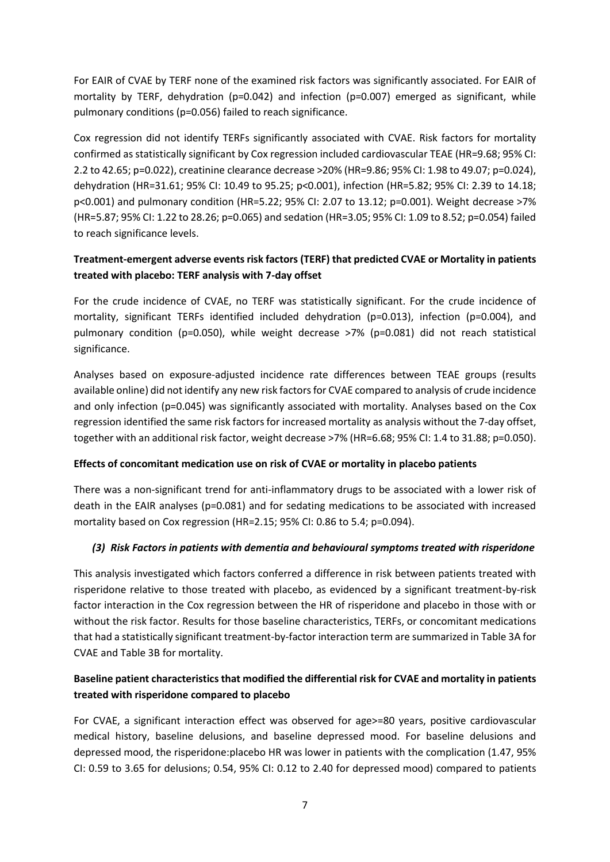For EAIR of CVAE by TERF none of the examined risk factors was significantly associated. For EAIR of mortality by TERF, dehydration (p=0.042) and infection (p=0.007) emerged as significant, while pulmonary conditions (p=0.056) failed to reach significance.

Cox regression did not identify TERFs significantly associated with CVAE. Risk factors for mortality confirmed as statistically significant by Cox regression included cardiovascular TEAE (HR=9.68; 95% CI: 2.2 to 42.65; p=0.022), creatinine clearance decrease >20% (HR=9.86; 95% CI: 1.98 to 49.07; p=0.024), dehydration (HR=31.61; 95% CI: 10.49 to 95.25; p<0.001), infection (HR=5.82; 95% CI: 2.39 to 14.18; p<0.001) and pulmonary condition (HR=5.22; 95% CI: 2.07 to 13.12; p=0.001). Weight decrease >7% (HR=5.87; 95% CI: 1.22 to 28.26; p=0.065) and sedation (HR=3.05; 95% CI: 1.09 to 8.52; p=0.054) failed to reach significance levels.

## **Treatment-emergent adverse events risk factors (TERF) that predicted CVAE or Mortality in patients treated with placebo: TERF analysis with 7-day offset**

For the crude incidence of CVAE, no TERF was statistically significant. For the crude incidence of mortality, significant TERFs identified included dehydration (p=0.013), infection (p=0.004), and pulmonary condition (p=0.050), while weight decrease >7% (p=0.081) did not reach statistical significance.

Analyses based on exposure-adjusted incidence rate differences between TEAE groups (results available online) did not identify any new risk factors for CVAE compared to analysis of crude incidence and only infection (p=0.045) was significantly associated with mortality. Analyses based on the Cox regression identified the same risk factors for increased mortality as analysis without the 7-day offset, together with an additional risk factor, weight decrease >7% (HR=6.68; 95% CI: 1.4 to 31.88; p=0.050).

#### **Effects of concomitant medication use on risk of CVAE or mortality in placebo patients**

There was a non-significant trend for anti-inflammatory drugs to be associated with a lower risk of death in the EAIR analyses (p=0.081) and for sedating medications to be associated with increased mortality based on Cox regression (HR=2.15; 95% CI: 0.86 to 5.4; p=0.094).

## *(3) Risk Factors in patients with dementia and behavioural symptoms treated with risperidone*

This analysis investigated which factors conferred a difference in risk between patients treated with risperidone relative to those treated with placebo, as evidenced by a significant treatment-by-risk factor interaction in the Cox regression between the HR of risperidone and placebo in those with or without the risk factor. Results for those baseline characteristics, TERFs, or concomitant medications that had a statistically significant treatment-by-factor interaction term are summarized in Table 3A for CVAE and Table 3B for mortality.

# **Baseline patient characteristics that modified the differential risk for CVAE and mortality in patients treated with risperidone compared to placebo**

For CVAE, a significant interaction effect was observed for age>=80 years, positive cardiovascular medical history, baseline delusions, and baseline depressed mood. For baseline delusions and depressed mood, the risperidone:placebo HR was lower in patients with the complication (1.47, 95% CI: 0.59 to 3.65 for delusions; 0.54, 95% CI: 0.12 to 2.40 for depressed mood) compared to patients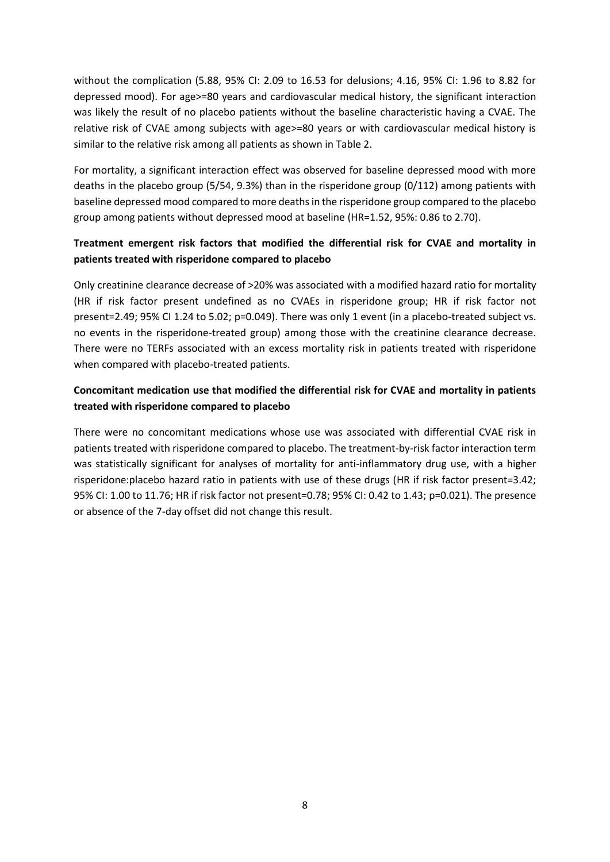without the complication (5.88, 95% CI: 2.09 to 16.53 for delusions; 4.16, 95% CI: 1.96 to 8.82 for depressed mood). For age>=80 years and cardiovascular medical history, the significant interaction was likely the result of no placebo patients without the baseline characteristic having a CVAE. The relative risk of CVAE among subjects with age>=80 years or with cardiovascular medical history is similar to the relative risk among all patients as shown in Table 2.

For mortality, a significant interaction effect was observed for baseline depressed mood with more deaths in the placebo group (5/54, 9.3%) than in the risperidone group (0/112) among patients with baseline depressed mood compared to more deaths in the risperidone group compared to the placebo group among patients without depressed mood at baseline (HR=1.52, 95%: 0.86 to 2.70).

## **Treatment emergent risk factors that modified the differential risk for CVAE and mortality in patients treated with risperidone compared to placebo**

Only creatinine clearance decrease of >20% was associated with a modified hazard ratio for mortality (HR if risk factor present undefined as no CVAEs in risperidone group; HR if risk factor not present=2.49; 95% CI 1.24 to 5.02; p=0.049). There was only 1 event (in a placebo-treated subject vs. no events in the risperidone-treated group) among those with the creatinine clearance decrease. There were no TERFs associated with an excess mortality risk in patients treated with risperidone when compared with placebo-treated patients.

## **Concomitant medication use that modified the differential risk for CVAE and mortality in patients treated with risperidone compared to placebo**

There were no concomitant medications whose use was associated with differential CVAE risk in patients treated with risperidone compared to placebo. The treatment-by-risk factor interaction term was statistically significant for analyses of mortality for anti-inflammatory drug use, with a higher risperidone:placebo hazard ratio in patients with use of these drugs (HR if risk factor present=3.42; 95% CI: 1.00 to 11.76; HR if risk factor not present=0.78; 95% CI: 0.42 to 1.43; p=0.021). The presence or absence of the 7-day offset did not change this result.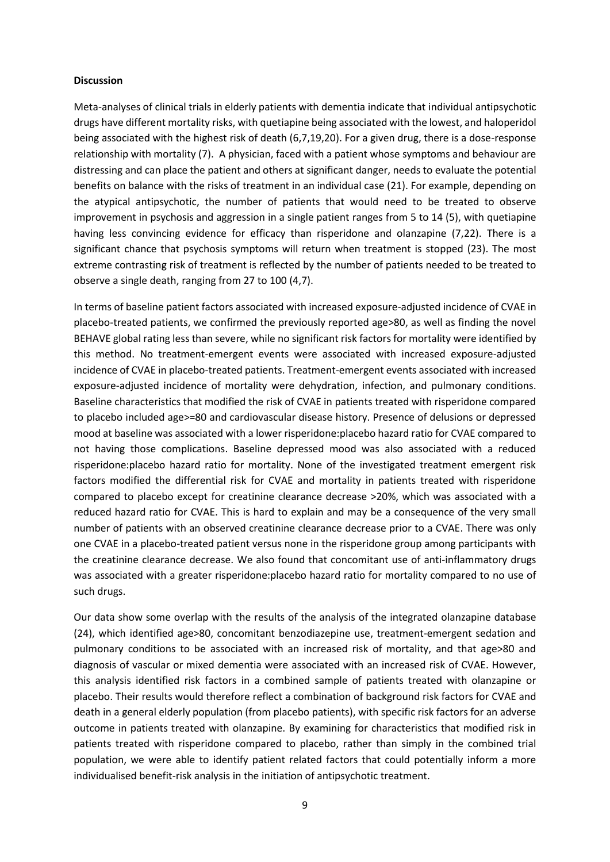#### **Discussion**

Meta-analyses of clinical trials in elderly patients with dementia indicate that individual antipsychotic drugs have different mortality risks, with quetiapine being associated with the lowest, and haloperidol being associated with the highest risk of death (6,7,19,20). For a given drug, there is a dose-response relationship with mortality (7). A physician, faced with a patient whose symptoms and behaviour are distressing and can place the patient and others at significant danger, needs to evaluate the potential benefits on balance with the risks of treatment in an individual case (21). For example, depending on the atypical antipsychotic, the number of patients that would need to be treated to observe improvement in psychosis and aggression in a single patient ranges from 5 to 14 (5), with quetiapine having less convincing evidence for efficacy than risperidone and olanzapine (7,22). There is a significant chance that psychosis symptoms will return when treatment is stopped (23). The most extreme contrasting risk of treatment is reflected by the number of patients needed to be treated to observe a single death, ranging from 27 to 100 (4,7).

In terms of baseline patient factors associated with increased exposure-adjusted incidence of CVAE in placebo-treated patients, we confirmed the previously reported age>80, as well as finding the novel BEHAVE global rating less than severe, while no significant risk factors for mortality were identified by this method. No treatment-emergent events were associated with increased exposure-adjusted incidence of CVAE in placebo-treated patients. Treatment-emergent events associated with increased exposure-adjusted incidence of mortality were dehydration, infection, and pulmonary conditions. Baseline characteristics that modified the risk of CVAE in patients treated with risperidone compared to placebo included age>=80 and cardiovascular disease history. Presence of delusions or depressed mood at baseline was associated with a lower risperidone:placebo hazard ratio for CVAE compared to not having those complications. Baseline depressed mood was also associated with a reduced risperidone:placebo hazard ratio for mortality. None of the investigated treatment emergent risk factors modified the differential risk for CVAE and mortality in patients treated with risperidone compared to placebo except for creatinine clearance decrease >20%, which was associated with a reduced hazard ratio for CVAE. This is hard to explain and may be a consequence of the very small number of patients with an observed creatinine clearance decrease prior to a CVAE. There was only one CVAE in a placebo-treated patient versus none in the risperidone group among participants with the creatinine clearance decrease. We also found that concomitant use of anti-inflammatory drugs was associated with a greater risperidone:placebo hazard ratio for mortality compared to no use of such drugs.

Our data show some overlap with the results of the analysis of the integrated olanzapine database (24), which identified age>80, concomitant benzodiazepine use, treatment-emergent sedation and pulmonary conditions to be associated with an increased risk of mortality, and that age>80 and diagnosis of vascular or mixed dementia were associated with an increased risk of CVAE. However, this analysis identified risk factors in a combined sample of patients treated with olanzapine or placebo. Their results would therefore reflect a combination of background risk factors for CVAE and death in a general elderly population (from placebo patients), with specific risk factors for an adverse outcome in patients treated with olanzapine. By examining for characteristics that modified risk in patients treated with risperidone compared to placebo, rather than simply in the combined trial population, we were able to identify patient related factors that could potentially inform a more individualised benefit-risk analysis in the initiation of antipsychotic treatment.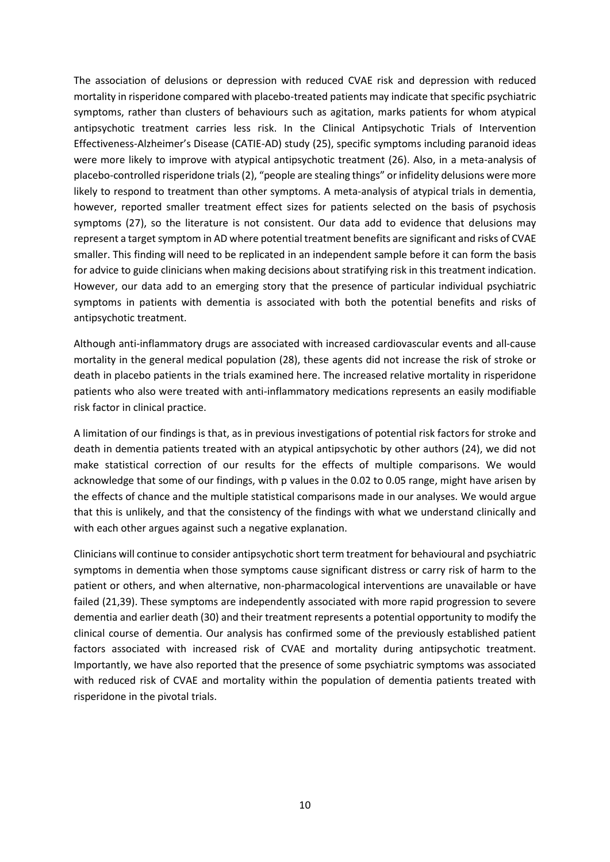The association of delusions or depression with reduced CVAE risk and depression with reduced mortality in risperidone compared with placebo-treated patients may indicate that specific psychiatric symptoms, rather than clusters of behaviours such as agitation, marks patients for whom atypical antipsychotic treatment carries less risk. In the Clinical Antipsychotic Trials of Intervention Effectiveness-Alzheimer's Disease (CATIE-AD) study (25), specific symptoms including paranoid ideas were more likely to improve with atypical antipsychotic treatment (26). Also, in a meta-analysis of placebo-controlled risperidone trials (2), "people are stealing things" or infidelity delusions were more likely to respond to treatment than other symptoms. A meta-analysis of atypical trials in dementia, however, reported smaller treatment effect sizes for patients selected on the basis of psychosis symptoms (27), so the literature is not consistent. Our data add to evidence that delusions may represent a target symptom in AD where potential treatment benefits are significant and risks of CVAE smaller. This finding will need to be replicated in an independent sample before it can form the basis for advice to guide clinicians when making decisions about stratifying risk in this treatment indication. However, our data add to an emerging story that the presence of particular individual psychiatric symptoms in patients with dementia is associated with both the potential benefits and risks of antipsychotic treatment.

Although anti-inflammatory drugs are associated with increased cardiovascular events and all-cause mortality in the general medical population (28), these agents did not increase the risk of stroke or death in placebo patients in the trials examined here. The increased relative mortality in risperidone patients who also were treated with anti-inflammatory medications represents an easily modifiable risk factor in clinical practice.

A limitation of our findings is that, as in previous investigations of potential risk factors for stroke and death in dementia patients treated with an atypical antipsychotic by other authors (24), we did not make statistical correction of our results for the effects of multiple comparisons. We would acknowledge that some of our findings, with p values in the 0.02 to 0.05 range, might have arisen by the effects of chance and the multiple statistical comparisons made in our analyses. We would argue that this is unlikely, and that the consistency of the findings with what we understand clinically and with each other argues against such a negative explanation.

Clinicians will continue to consider antipsychotic short term treatment for behavioural and psychiatric symptoms in dementia when those symptoms cause significant distress or carry risk of harm to the patient or others, and when alternative, non-pharmacological interventions are unavailable or have failed (21,39). These symptoms are independently associated with more rapid progression to severe dementia and earlier death (30) and their treatment represents a potential opportunity to modify the clinical course of dementia. Our analysis has confirmed some of the previously established patient factors associated with increased risk of CVAE and mortality during antipsychotic treatment. Importantly, we have also reported that the presence of some psychiatric symptoms was associated with reduced risk of CVAE and mortality within the population of dementia patients treated with risperidone in the pivotal trials.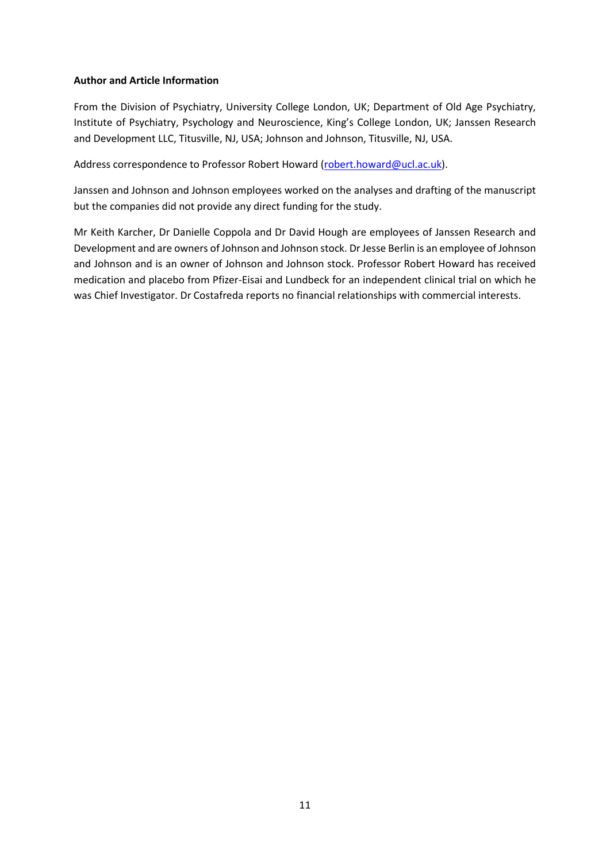#### **Author and Article Information**

From the Division of Psychiatry, University College London, UK; Department of Old Age Psychiatry, Institute of Psychiatry, Psychology and Neuroscience, King's College London, UK; Janssen Research and Development LLC, Titusville, NJ, USA; Johnson and Johnson, Titusville, NJ, USA.

Address correspondence to Professor Robert Howard [\(robert.howard@ucl.ac.uk\)](mailto:robert.howard@ucl.ac.uk).

Janssen and Johnson and Johnson employees worked on the analyses and drafting of the manuscript but the companies did not provide any direct funding for the study.

Mr Keith Karcher, Dr Danielle Coppola and Dr David Hough are employees of Janssen Research and Development and are owners of Johnson and Johnson stock. Dr Jesse Berlin is an employee of Johnson and Johnson and is an owner of Johnson and Johnson stock. Professor Robert Howard has received medication and placebo from Pfizer-Eisai and Lundbeck for an independent clinical trial on which he was Chief Investigator. Dr Costafreda reports no financial relationships with commercial interests.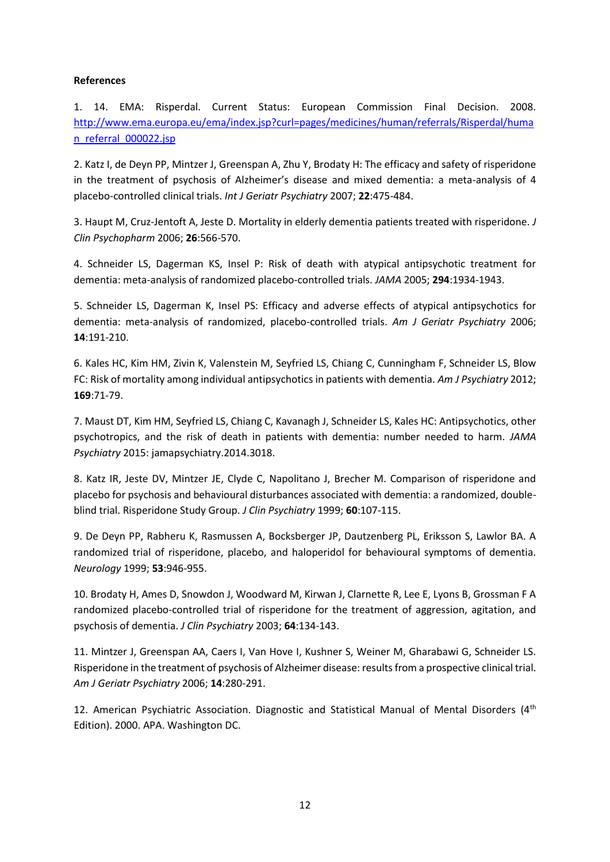#### **References**

1. 14. EMA: Risperdal. Current Status: European Commission Final Decision. 2008. [http://www.ema.europa.eu/ema/index.jsp?curl=pages/medicines/human/referrals/Risperdal/huma](http://www.ema.europa.eu/ema/index.jsp?curl=pages/medicines/human/referrals/Risperdal/human_referral_000022.jsp) n referral 000022.jsp

2. Katz I, de Deyn PP, Mintzer J, Greenspan A, Zhu Y, Brodaty H: The efficacy and safety of risperidone in the treatment of psychosis of Alzheimer's disease and mixed dementia: a meta-analysis of 4 placebo-controlled clinical trials. *Int J Geriatr Psychiatry* 2007; **22**:475-484.

3. Haupt M, Cruz-Jentoft A, Jeste D. Mortality in elderly dementia patients treated with risperidone. *J Clin Psychopharm* 2006; **26**:566-570.

4. Schneider LS, Dagerman KS, Insel P: Risk of death with atypical antipsychotic treatment for dementia: meta-analysis of randomized placebo-controlled trials. *JAMA* 2005; **294**:1934-1943.

5. Schneider LS, Dagerman K, Insel PS: Efficacy and adverse effects of atypical antipsychotics for dementia: meta-analysis of randomized, placebo-controlled trials. *Am J Geriatr Psychiatry* 2006; **14**:191-210.

6. Kales HC, Kim HM, Zivin K, Valenstein M, Seyfried LS, Chiang C, Cunningham F, Schneider LS, Blow FC: Risk of mortality among individual antipsychotics in patients with dementia. *Am J Psychiatry* 2012; **169**:71-79.

7. Maust DT, Kim HM, Seyfried LS, Chiang C, Kavanagh J, Schneider LS, Kales HC: Antipsychotics, other psychotropics, and the risk of death in patients with dementia: number needed to harm. *JAMA Psychiatry* 2015: jamapsychiatry.2014.3018.

8. Katz IR, Jeste DV, Mintzer JE, Clyde C, Napolitano J, Brecher M. Comparison of risperidone and placebo for psychosis and behavioural disturbances associated with dementia: a randomized, doubleblind trial. Risperidone Study Group. *J Clin Psychiatry* 1999; **60**:107-115.

9. De Deyn PP, Rabheru K, Rasmussen A, Bocksberger JP, Dautzenberg PL, Eriksson S, Lawlor BA. A randomized trial of risperidone, placebo, and haloperidol for behavioural symptoms of dementia. *Neurology* 1999; **53**:946-955.

10. Brodaty H, Ames D, Snowdon J, Woodward M, Kirwan J, Clarnette R, Lee E, Lyons B, Grossman F A randomized placebo-controlled trial of risperidone for the treatment of aggression, agitation, and psychosis of dementia. *J Clin Psychiatry* 2003; **64**:134-143.

11. Mintzer J, Greenspan AA, Caers I, Van Hove I, Kushner S, Weiner M, Gharabawi G, Schneider LS. Risperidone in the treatment of psychosis of Alzheimer disease: results from a prospective clinical trial. *Am J Geriatr Psychiatry* 2006; **14**:280-291.

12. American Psychiatric Association. Diagnostic and Statistical Manual of Mental Disorders (4<sup>th</sup> Edition). 2000. APA. Washington DC.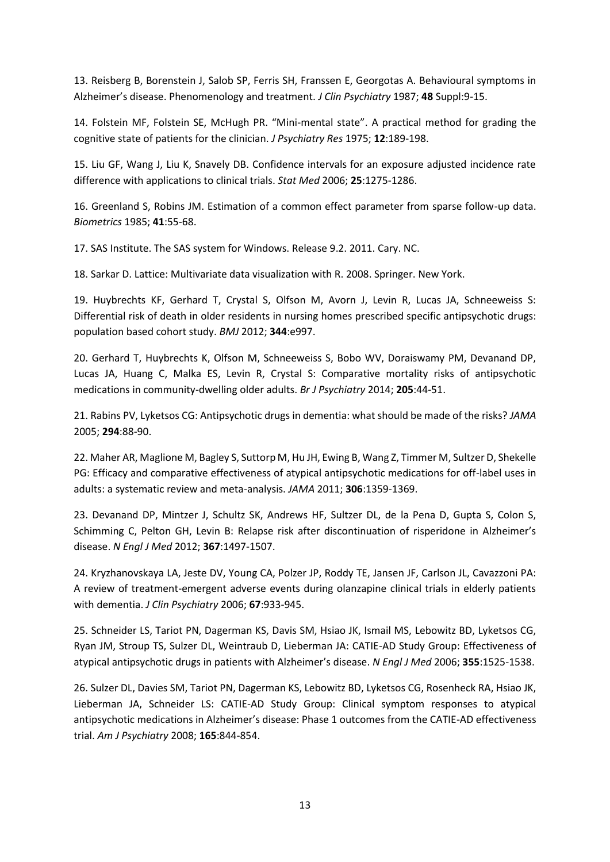13. Reisberg B, Borenstein J, Salob SP, Ferris SH, Franssen E, Georgotas A. Behavioural symptoms in Alzheimer's disease. Phenomenology and treatment. *J Clin Psychiatry* 1987; **48** Suppl:9-15.

14. Folstein MF, Folstein SE, McHugh PR. "Mini-mental state". A practical method for grading the cognitive state of patients for the clinician. *J Psychiatry Res* 1975; **12**:189-198.

15. Liu GF, Wang J, Liu K, Snavely DB. Confidence intervals for an exposure adjusted incidence rate difference with applications to clinical trials. *Stat Med* 2006; **25**:1275-1286.

16. Greenland S, Robins JM. Estimation of a common effect parameter from sparse follow-up data. *Biometrics* 1985; **41**:55-68.

17. SAS Institute. The SAS system for Windows. Release 9.2. 2011. Cary. NC.

18. Sarkar D. Lattice: Multivariate data visualization with R. 2008. Springer. New York.

19. Huybrechts KF, Gerhard T, Crystal S, Olfson M, Avorn J, Levin R, Lucas JA, Schneeweiss S: Differential risk of death in older residents in nursing homes prescribed specific antipsychotic drugs: population based cohort study. *BMJ* 2012; **344**:e997.

20. Gerhard T, Huybrechts K, Olfson M, Schneeweiss S, Bobo WV, Doraiswamy PM, Devanand DP, Lucas JA, Huang C, Malka ES, Levin R, Crystal S: Comparative mortality risks of antipsychotic medications in community-dwelling older adults. *Br J Psychiatry* 2014; **205**:44-51.

21. Rabins PV, Lyketsos CG: Antipsychotic drugs in dementia: what should be made of the risks? *JAMA* 2005; **294**:88-90.

22. Maher AR, Maglione M, Bagley S, Suttorp M, Hu JH, Ewing B, Wang Z, Timmer M, Sultzer D, Shekelle PG: Efficacy and comparative effectiveness of atypical antipsychotic medications for off-label uses in adults: a systematic review and meta-analysis. *JAMA* 2011; **306**:1359-1369.

23. Devanand DP, Mintzer J, Schultz SK, Andrews HF, Sultzer DL, de la Pena D, Gupta S, Colon S, Schimming C, Pelton GH, Levin B: Relapse risk after discontinuation of risperidone in Alzheimer's disease. *N Engl J Med* 2012; **367**:1497-1507.

24. Kryzhanovskaya LA, Jeste DV, Young CA, Polzer JP, Roddy TE, Jansen JF, Carlson JL, Cavazzoni PA: A review of treatment-emergent adverse events during olanzapine clinical trials in elderly patients with dementia. *J Clin Psychiatry* 2006; **67**:933-945.

25. Schneider LS, Tariot PN, Dagerman KS, Davis SM, Hsiao JK, Ismail MS, Lebowitz BD, Lyketsos CG, Ryan JM, Stroup TS, Sulzer DL, Weintraub D, Lieberman JA: CATIE-AD Study Group: Effectiveness of atypical antipsychotic drugs in patients with Alzheimer's disease. *N Engl J Med* 2006; **355**:1525-1538.

26. Sulzer DL, Davies SM, Tariot PN, Dagerman KS, Lebowitz BD, Lyketsos CG, Rosenheck RA, Hsiao JK, Lieberman JA, Schneider LS: CATIE-AD Study Group: Clinical symptom responses to atypical antipsychotic medications in Alzheimer's disease: Phase 1 outcomes from the CATIE-AD effectiveness trial. *Am J Psychiatry* 2008; **165**:844-854.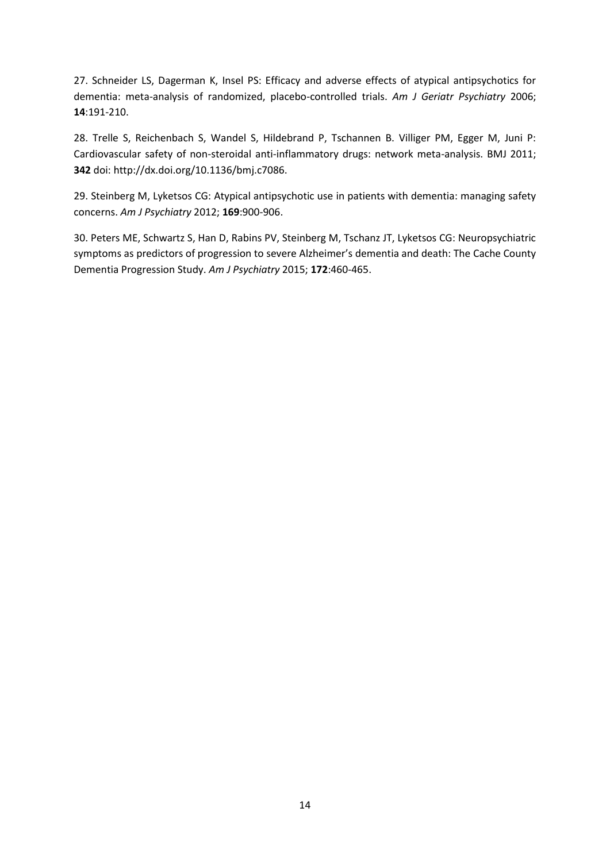27. Schneider LS, Dagerman K, Insel PS: Efficacy and adverse effects of atypical antipsychotics for dementia: meta-analysis of randomized, placebo-controlled trials. *Am J Geriatr Psychiatry* 2006; **14**:191-210.

28. Trelle S, Reichenbach S, Wandel S, Hildebrand P, Tschannen B. Villiger PM, Egger M, Juni P: Cardiovascular safety of non-steroidal anti-inflammatory drugs: network meta-analysis. BMJ 2011; **342** doi: http://dx.doi.org/10.1136/bmj.c7086.

29. Steinberg M, Lyketsos CG: Atypical antipsychotic use in patients with dementia: managing safety concerns. *Am J Psychiatry* 2012; **169**:900-906.

30. Peters ME, Schwartz S, Han D, Rabins PV, Steinberg M, Tschanz JT, Lyketsos CG: Neuropsychiatric symptoms as predictors of progression to severe Alzheimer's dementia and death: The Cache County Dementia Progression Study. *Am J Psychiatry* 2015; **172**:460-465.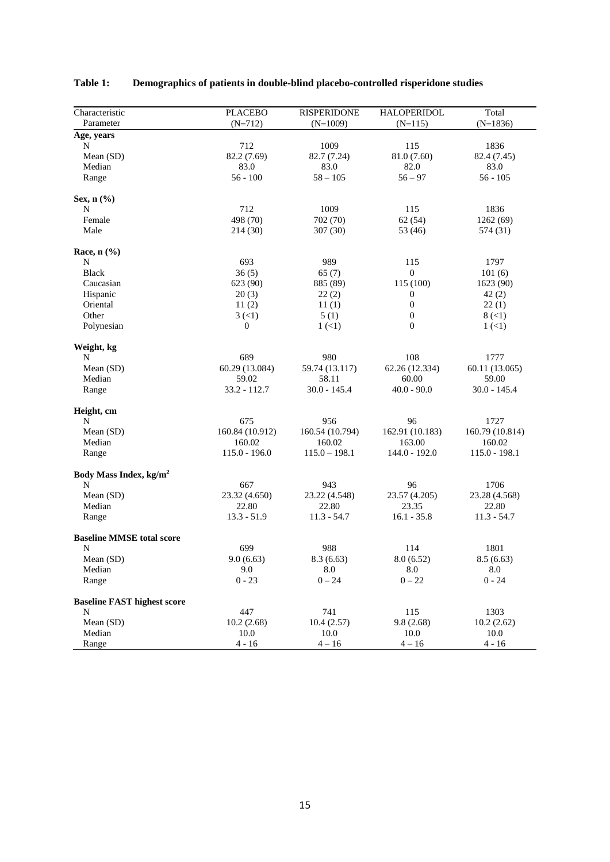| Characteristic                     | <b>PLACEBO</b>       | <b>RISPERIDONE</b> | HALOPERIDOL      | Total           |
|------------------------------------|----------------------|--------------------|------------------|-----------------|
| Parameter                          | $(N=712)$            | $(N=1009)$         | $(N=115)$        | $(N=1836)$      |
| Age, years                         |                      |                    |                  |                 |
| N                                  | 712                  | 1009               | 115              | 1836            |
| Mean (SD)                          | 82.2 (7.69)          | 82.7 (7.24)        | 81.0 (7.60)      | 82.4 (7.45)     |
| Median                             | 83.0                 | 83.0               | 82.0             | 83.0            |
| Range                              | $56 - 100$           | $58 - 105$         | $56 - 97$        | $56 - 105$      |
|                                    |                      |                    |                  |                 |
| Sex, $n$ $(\% )$                   |                      |                    |                  |                 |
| N                                  | 712                  | 1009               | 115              | 1836            |
| Female                             | 498 (70)             | 702 (70)           | 62(54)           | 1262 (69)       |
| Male                               | 214(30)              | 307(30)            | 53 (46)          | 574 (31)        |
|                                    |                      |                    |                  |                 |
| Race, $n$ $(\%$                    |                      |                    |                  |                 |
| N                                  | 693                  | 989                | 115              | 1797            |
| <b>Black</b>                       | 36(5)                | 65(7)              | $\mathbf{0}$     | 101(6)          |
| Caucasian                          | 623 (90)             | 885 (89)           | 115 (100)        | 1623 (90)       |
| Hispanic                           | 20(3)                | 22(2)              | $\boldsymbol{0}$ | 42(2)           |
| Oriental                           | 11(2)                | 11(1)              | $\boldsymbol{0}$ | 22(1)           |
| Other                              | $3 \left( 1 \right)$ | 5(1)               | $\boldsymbol{0}$ | 8 (<1)          |
| Polynesian                         | $\boldsymbol{0}$     | $1 (\leq 1)$       | $\overline{0}$   | $1 (\leq 1)$    |
| Weight, kg                         |                      |                    |                  |                 |
| N                                  | 689                  | 980                | 108              | 1777            |
| Mean (SD)                          | 60.29 (13.084)       | 59.74 (13.117)     | 62.26 (12.334)   | 60.11 (13.065)  |
| Median                             | 59.02                | 58.11              | 60.00            | 59.00           |
| Range                              | $33.2 - 112.7$       | 30.0 - 145.4       | $40.0 - 90.0$    | 30.0 - 145.4    |
| Height, cm                         |                      |                    |                  |                 |
| N                                  | 675                  | 956                | 96               | 1727            |
| Mean (SD)                          | 160.84 (10.912)      | 160.54 (10.794)    | 162.91 (10.183)  | 160.79 (10.814) |
| Median                             | 160.02               | 160.02             | 163.00           | 160.02          |
| Range                              | $115.0 - 196.0$      | $115.0 - 198.1$    | $144.0 - 192.0$  | $115.0 - 198.1$ |
| Body Mass Index, kg/m <sup>2</sup> |                      |                    |                  |                 |
| N                                  | 667                  | 943                | 96               | 1706            |
| Mean (SD)                          | 23.32 (4.650)        | 23.22 (4.548)      | 23.57 (4.205)    | 23.28 (4.568)   |
| Median                             | 22.80                | 22.80              | 23.35            | 22.80           |
| Range                              | $13.3 - 51.9$        | $11.3 - 54.7$      | $16.1 - 35.8$    | $11.3 - 54.7$   |
| <b>Baseline MMSE total score</b>   |                      |                    |                  |                 |
| N                                  | 699                  | 988                | 114              | 1801            |
| Mean (SD)                          | 9.0(6.63)            | 8.3(6.63)          | 8.0(6.52)        | 8.5(6.63)       |
| Median                             | 9.0                  | 8.0                | 8.0              | 8.0             |
| Range                              | $0 - 23$             | $0 - 24$           | $0 - 22$         | $0 - 24$        |
| <b>Baseline FAST highest score</b> |                      |                    |                  |                 |
| N                                  | 447                  | 741                | 115              | 1303            |
| Mean (SD)                          | 10.2(2.68)           | 10.4(2.57)         | 9.8(2.68)        | 10.2(2.62)      |
| Median                             | 10.0                 | 10.0               | 10.0             | 10.0            |
| Range                              | $4 - 16$             | $4 - 16$           | $4 - 16$         | $4 - 16$        |

# **Table 1: Demographics of patients in double-blind placebo-controlled risperidone studies**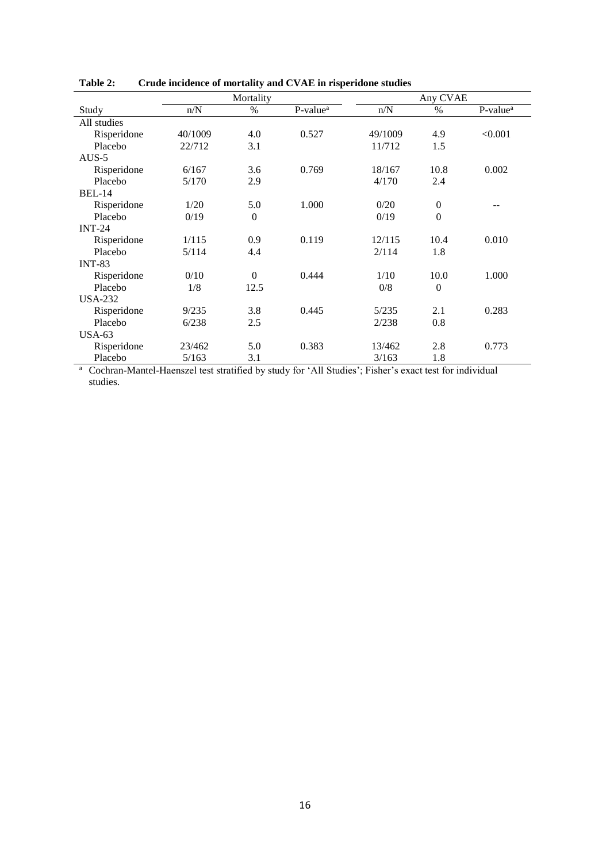|                |         | Mortality      |                      | Any CVAE |                  |                      |  |  |
|----------------|---------|----------------|----------------------|----------|------------------|----------------------|--|--|
| Study          | n/N     | $\%$           | P-value <sup>a</sup> | n/N      | $\%$             | P-value <sup>a</sup> |  |  |
| All studies    |         |                |                      |          |                  |                      |  |  |
| Risperidone    | 40/1009 | 4.0            | 0.527                | 49/1009  | 4.9              | < 0.001              |  |  |
| Placebo        | 22/712  | 3.1            |                      | 11/712   | 1.5              |                      |  |  |
| $AUS-5$        |         |                |                      |          |                  |                      |  |  |
| Risperidone    | 6/167   | 3.6            | 0.769                | 18/167   | 10.8             | 0.002                |  |  |
| Placebo        | 5/170   | 2.9            |                      | 4/170    | 2.4              |                      |  |  |
| <b>BEL-14</b>  |         |                |                      |          |                  |                      |  |  |
| Risperidone    | 1/20    | 5.0            | 1.000                | 0/20     | $\boldsymbol{0}$ |                      |  |  |
| Placebo        | 0/19    | $\overline{0}$ |                      | 0/19     | $\mathbf{0}$     |                      |  |  |
| $INT-24$       |         |                |                      |          |                  |                      |  |  |
| Risperidone    | 1/115   | 0.9            | 0.119                | 12/115   | 10.4             | 0.010                |  |  |
| Placebo        | 5/114   | 4.4            |                      | 2/114    | 1.8              |                      |  |  |
| <b>INT-83</b>  |         |                |                      |          |                  |                      |  |  |
| Risperidone    | 0/10    | $\theta$       | 0.444                | 1/10     | 10.0             | 1.000                |  |  |
| Placebo        | 1/8     | 12.5           |                      | 0/8      | $\theta$         |                      |  |  |
| <b>USA-232</b> |         |                |                      |          |                  |                      |  |  |
| Risperidone    | 9/235   | 3.8            | 0.445                | 5/235    | 2.1              | 0.283                |  |  |
| Placebo        | 6/238   | 2.5            |                      | 2/238    | 0.8              |                      |  |  |
| $USA-63$       |         |                |                      |          |                  |                      |  |  |
| Risperidone    | 23/462  | 5.0            | 0.383                | 13/462   | 2.8              | 0.773                |  |  |
| Placebo        | 5/163   | 3.1            |                      | 3/163    | 1.8              |                      |  |  |

**Table 2: Crude incidence of mortality and CVAE in risperidone studies**

<sup>a</sup> Cochran-Mantel-Haenszel test stratified by study for 'All Studies'; Fisher's exact test for individual studies.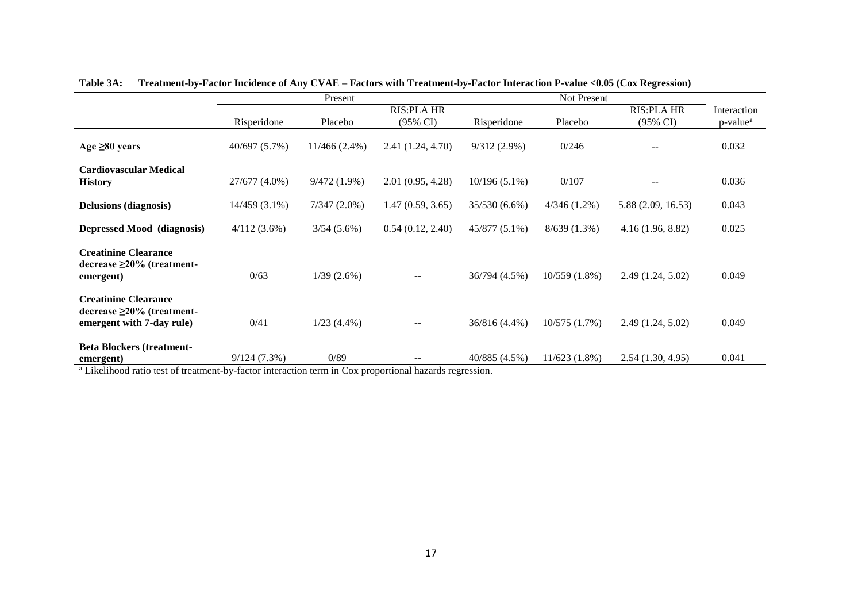|                                                                                              |                 | Present         |                          |                 |                 |                     |                      |
|----------------------------------------------------------------------------------------------|-----------------|-----------------|--------------------------|-----------------|-----------------|---------------------|----------------------|
|                                                                                              |                 |                 | <b>RIS:PLA HR</b>        |                 |                 | <b>RIS:PLA HR</b>   | Interaction          |
|                                                                                              | Risperidone     | Placebo         | $(95\% \text{ CI})$      | Risperidone     | Placebo         | $(95\% \text{ CI})$ | p-value <sup>a</sup> |
| Age $\geq 80$ years                                                                          | 40/697 (5.7%)   | $11/466(2.4\%)$ | 2.41(1.24, 4.70)         | $9/312(2.9\%)$  | 0/246           |                     | 0.032                |
| <b>Cardiovascular Medical</b><br><b>History</b>                                              | 27/677 (4.0%)   | 9/472(1.9%)     | 2.01(0.95, 4.28)         | $10/196(5.1\%)$ | 0/107           | $-$                 | 0.036                |
| <b>Delusions (diagnosis)</b>                                                                 | $14/459(3.1\%)$ | $7/347(2.0\%)$  | 1.47(0.59, 3.65)         | 35/530 (6.6%)   | $4/346(1.2\%)$  | 5.88 (2.09, 16.53)  | 0.043                |
| <b>Depressed Mood (diagnosis)</b>                                                            | 4/112(3.6%)     | $3/54(5.6\%)$   | 0.54(0.12, 2.40)         | $45/877(5.1\%)$ | $8/639(1.3\%)$  | 4.16(1.96, 8.82)    | 0.025                |
| <b>Creatinine Clearance</b><br>$\text{decrease} \geq 20\%$ (treatment-<br>emergent)          | 0/63            | 1/39(2.6%)      | $\overline{\phantom{a}}$ | 36/794 (4.5%)   | $10/559(1.8\%)$ | 2.49(1.24, 5.02)    | 0.049                |
| <b>Creatinine Clearance</b><br>$decrease \geq 20\%$ (treatment-<br>emergent with 7-day rule) | 0/41            | $1/23(4.4\%)$   |                          | 36/816 (4.4%)   | 10/575(1.7%)    | 2.49(1.24, 5.02)    | 0.049                |
| <b>Beta Blockers (treatment-</b><br>emergent)                                                | 9/124(7.3%)     | 0/89            | $\overline{\phantom{m}}$ | 40/885 (4.5%)   | $11/623(1.8\%)$ | 2.54(1.30, 4.95)    | 0.041                |

**Table 3A: Treatment-by-Factor Incidence of Any CVAE – Factors with Treatment-by-Factor Interaction P-value <0.05 (Cox Regression)**

<sup>a</sup> Likelihood ratio test of treatment-by-factor interaction term in Cox proportional hazards regression.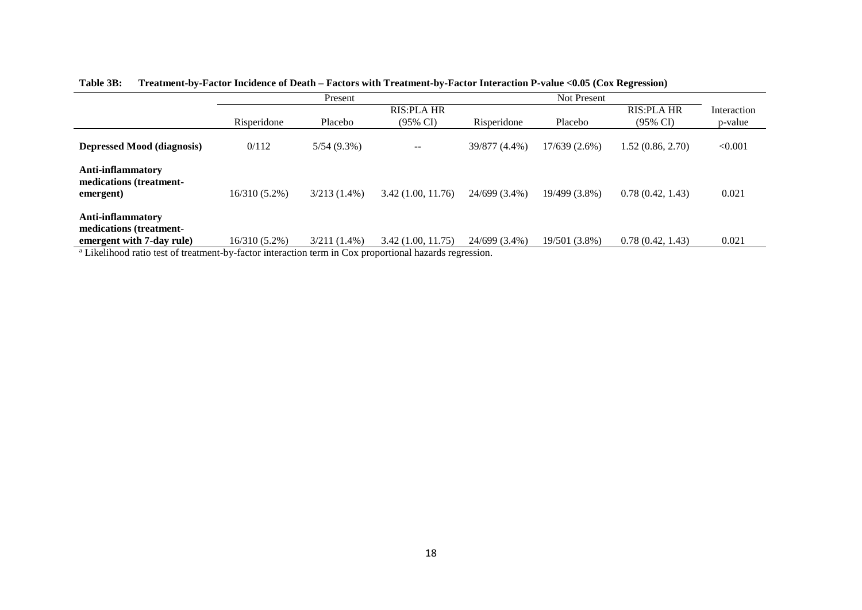|                                                                                                              |                 | Present        |                     |               |               |                     |             |
|--------------------------------------------------------------------------------------------------------------|-----------------|----------------|---------------------|---------------|---------------|---------------------|-------------|
|                                                                                                              |                 |                | <b>RIS:PLA HR</b>   |               |               | <b>RIS:PLA HR</b>   | Interaction |
|                                                                                                              | Risperidone     | Placebo        | $(95\% \text{ CI})$ | Risperidone   | Placebo       | $(95\% \text{ CI})$ | p-value     |
| <b>Depressed Mood (diagnosis)</b>                                                                            | 0/112           | $5/54(9.3\%)$  | $- -$               | 39/877 (4.4%) | 17/639(2.6%)  | 1.52(0.86, 2.70)    | < 0.001     |
| Anti-inflammatory<br>medications (treatment-<br>emergent)                                                    | $16/310(5.2\%)$ | $3/213(1.4\%)$ | 3.42(1.00, 11.76)   | 24/699 (3.4%) | 19/499 (3.8%) | 0.78(0.42, 1.43)    | 0.021       |
| Anti-inflammatory<br>medications (treatment-<br>emergent with 7-day rule)                                    | $16/310(5.2\%)$ | $3/211(1.4\%)$ | 3.42 (1.00, 11.75)  | 24/699 (3.4%) | 19/501 (3.8%) | 0.78(0.42, 1.43)    | 0.021       |
| <sup>a</sup> Legislation of the threatment by factor interaction term in Cay preparties al happed requestion |                 |                |                     |               |               |                     |             |

**Table 3B: Treatment-by-Factor Incidence of Death – Factors with Treatment-by-Factor Interaction P-value <0.05 (Cox Regression)**

Likelihood ratio test of treatment-by-factor interaction term in Cox proportional hazards regression.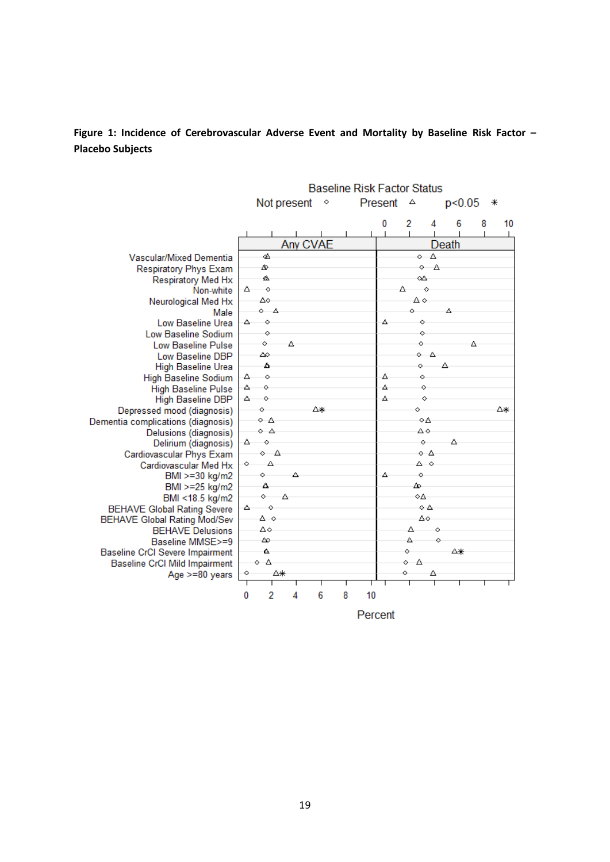**Figure 1: Incidence of Cerebrovascular Adverse Event and Mortality by Baseline Risk Factor – Placebo Subjects**

|                                               | <b>Baseline Risk Factor Status</b> |                  |          |         |   |         |  |                |                      |        |   |    |
|-----------------------------------------------|------------------------------------|------------------|----------|---------|---|---------|--|----------------|----------------------|--------|---|----|
|                                               |                                    | Not present      |          | $\circ$ |   | Present |  | Δ              |                      | p<0.05 |   | ∗  |
|                                               |                                    |                  |          |         |   | 0       |  | 2              | 4                    | 6      | 8 | 10 |
|                                               |                                    |                  |          |         |   |         |  |                |                      |        |   |    |
|                                               |                                    |                  | Any CVAE |         |   |         |  |                | Death                |        |   |    |
| Vascular/Mixed Dementia                       | d.                                 |                  |          |         |   |         |  |                | $\circ$ $\Delta$     |        |   |    |
| <b>Respiratory Phys Exam</b>                  | ♨                                  |                  |          |         |   |         |  | $\circ$        | Δ                    |        |   |    |
| Respiratory Med Hx                            | ø.                                 |                  |          |         |   |         |  | ۵A             |                      |        |   |    |
| Non-white                                     | △                                  | $\Diamond$       |          |         |   |         |  | Δ              | $\Diamond$           |        |   |    |
| Neurological Med Hx                           | Δo                                 |                  |          |         |   |         |  | Δ٥             |                      |        |   |    |
| Male                                          |                                    | $\circ$ $\Delta$ |          |         |   |         |  | Ò              |                      | Δ      |   |    |
| Low Baseline Urea                             | △                                  | ò                |          |         |   | Δ       |  | $\ddot{\circ}$ |                      |        |   |    |
| Low Baseline Sodium                           |                                    | $\circ$          |          |         |   |         |  | $\circ$        |                      |        |   |    |
| Low Baseline Pulse                            | Ō.                                 | Δ                |          |         |   |         |  | Ō.             |                      |        | А |    |
| Low Baseline DBP                              | ∠                                  |                  |          |         |   |         |  |                | $\circ$ $\circ$<br>Δ |        |   |    |
| <b>High Baseline Urea</b>                     | Δ                                  |                  |          |         |   |         |  | Ò.             |                      |        |   |    |
| <b>High Baseline Sodium</b>                   | Δ<br>Δ<br>Ò                        | $\circ$          |          |         |   | Δ<br>Δ  |  | Ŏ.<br>Ŏ.       |                      |        |   |    |
| <b>High Baseline Pulse</b>                    | Δ.<br>ó                            |                  |          |         |   | Δ       |  |                | Ŏ.                   |        |   |    |
| <b>High Baseline DBP</b>                      | Ò.                                 |                  | Δ∗       |         |   |         |  | Ò              |                      |        |   | Δ∗ |
| Depressed mood (diagnosis)                    | ∘ A                                |                  |          |         |   |         |  |                | ٥A                   |        |   |    |
| Dementia complications (diagnosis)            | $\circ$ $\triangle$                |                  |          |         |   |         |  | Δ٥             |                      |        |   |    |
| Delusions (diagnosis)<br>Delirium (diagnosis) | $\circ$<br>△                       |                  |          |         |   |         |  | Ō.             |                      | Δ      |   |    |
| Cardiovascular Phys Exam                      |                                    | $\circ$ $\Delta$ |          |         |   |         |  |                | $\circ$ $\Delta$     |        |   |    |
| Cardiovascular Med Hx                         | $\circ$                            | Δ                |          |         |   |         |  |                | ه ۵                  |        |   |    |
| BMI >=30 kg/m2                                | Ō.                                 |                  | Δ.       |         |   | Δ       |  | Ò              |                      |        |   |    |
| BMI >=25 kg/m2                                | Δ                                  |                  |          |         |   |         |  | ∞              |                      |        |   |    |
| BMI <18.5 kg/m2                               | $\circ$                            | Δ                |          |         |   |         |  | ٥A             |                      |        |   |    |
| <b>BEHAVE Global Rating Severe</b>            | △                                  | Ó                |          |         |   |         |  |                | οA                   |        |   |    |
| <b>BEHAVE Global Rating Mod/Sev</b>           |                                    | Δο               |          |         |   |         |  |                | Δo                   |        |   |    |
| <b>BEHAVE Delusions</b>                       | ∆∘                                 |                  |          |         |   |         |  | Δ              | Ó                    |        |   |    |
| Baseline MMSE>=9                              | ∞                                  |                  |          |         |   |         |  | Δ              | Ò                    |        |   |    |
| <b>Baseline CrCl Severe Impairment</b>        | ٨.                                 |                  |          |         |   |         |  | Ò              |                      | Δ₩     |   |    |
| <b>Baseline CrCl Mild Impairment</b>          | $\circ$ $\Delta$                   |                  |          |         |   |         |  | - 4<br>Ō.      |                      |        |   |    |
| Age >=80 years                                | ◇                                  | Δ₩               |          |         |   |         |  | Ò              | Δ                    |        |   |    |
|                                               |                                    |                  |          |         |   |         |  |                |                      |        |   |    |
|                                               | 0                                  | 2<br>4           |          | 6       | 8 | 10      |  |                |                      |        |   |    |
|                                               |                                    |                  |          |         |   | Percent |  |                |                      |        |   |    |